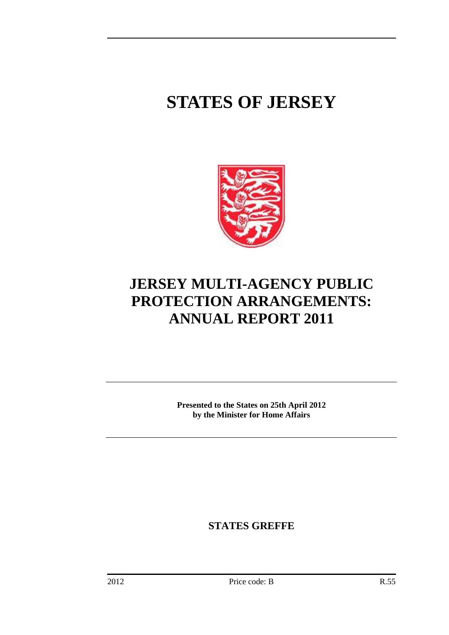# **STATES OF JERSEY**



# **JERSEY MULTI-AGENCY PUBLIC PROTECTION ARRANGEMENTS: ANNUAL REPORT 2011**

**Presented to the States on 25th April 2012 by the Minister for Home Affairs** 

**STATES GREFFE**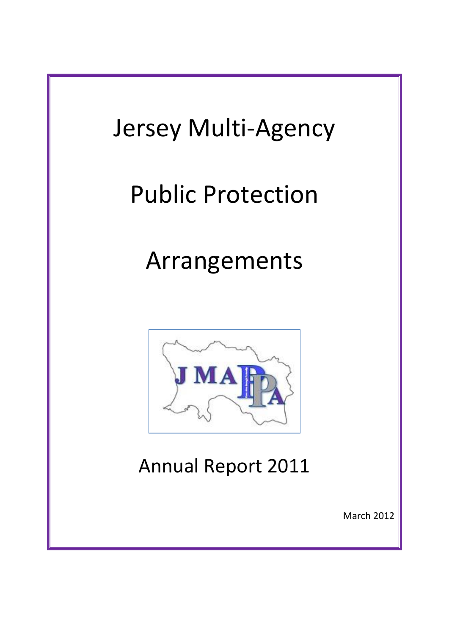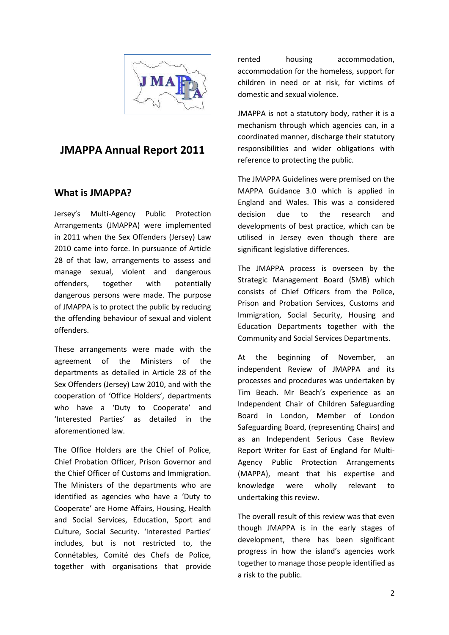

## **JMAPPA Annual Report 2011**

#### **What is JMAPPA?**

Jersey's Multi-Agency Public Protection Arrangements (JMAPPA) were implemented in 2011 when the Sex Offenders (Jersey) Law 2010 came into force. In pursuance of Article 28 of that law, arrangements to assess and manage sexual, violent and dangerous offenders, together with potentially dangerous persons were made. The purpose of JMAPPA is to protect the public by reducing the offending behaviour of sexual and violent offenders.

These arrangements were made with the agreement of the Ministers of the departments as detailed in Article 28 of the Sex Offenders (Jersey) Law 2010, and with the cooperation of 'Office Holders', departments who have a 'Duty to Cooperate' and 'Interested Parties' as detailed in the aforementioned law.

The Office Holders are the Chief of Police, Chief Probation Officer, Prison Governor and the Chief Officer of Customs and Immigration. The Ministers of the departments who are identified as agencies who have a 'Duty to Cooperate' are Home Affairs, Housing, Health and Social Services, Education, Sport and Culture, Social Security. 'Interested Parties' includes, but is not restricted to, the Connétables, Comité des Chefs de Police, together with organisations that provide rented housing accommodation, accommodation for the homeless, support for children in need or at risk, for victims of domestic and sexual violence.

JMAPPA is not a statutory body, rather it is a mechanism through which agencies can, in a coordinated manner, discharge their statutory responsibilities and wider obligations with reference to protecting the public.

The JMAPPA Guidelines were premised on the MAPPA Guidance 3.0 which is applied in England and Wales. This was a considered decision due to the research and developments of best practice, which can be utilised in Jersey even though there are significant legislative differences.

The JMAPPA process is overseen by the Strategic Management Board (SMB) which consists of Chief Officers from the Police, Prison and Probation Services, Customs and Immigration, Social Security, Housing and Education Departments together with the Community and Social Services Departments.

At the beginning of November, an independent Review of JMAPPA and its processes and procedures was undertaken by Tim Beach. Mr Beach's experience as an Independent Chair of Children Safeguarding Board in London, Member of London Safeguarding Board, (representing Chairs) and as an Independent Serious Case Review Report Writer for East of England for Multi-Agency Public Protection Arrangements (MAPPA), meant that his expertise and knowledge were wholly relevant to undertaking this review.

The overall result of this review was that even though JMAPPA is in the early stages of development, there has been significant progress in how the island's agencies work together to manage those people identified as a risk to the public.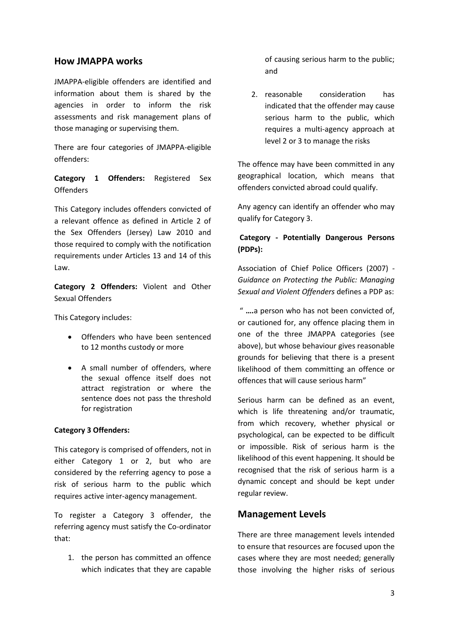#### **How JMAPPA works**

JMAPPA-eligible offenders are identified and information about them is shared by the agencies in order to inform the risk assessments and risk management plans of those managing or supervising them.

There are four categories of JMAPPA-eligible offenders:

**Category 1 Offenders:** Registered Sex **Offenders** 

This Category includes offenders convicted of a relevant offence as defined in Article 2 of the Sex Offenders (Jersey) Law 2010 and those required to comply with the notification requirements under Articles 13 and 14 of this Law.

**Category 2 Offenders:** Violent and Other Sexual Offenders

This Category includes:

- Offenders who have been sentenced to 12 months custody or more
- A small number of offenders, where the sexual offence itself does not attract registration or where the sentence does not pass the threshold for registration

#### **Category 3 Offenders:**

This category is comprised of offenders, not in either Category 1 or 2, but who are considered by the referring agency to pose a risk of serious harm to the public which requires active inter-agency management.

To register a Category 3 offender, the referring agency must satisfy the Co-ordinator that:

1. the person has committed an offence which indicates that they are capable of causing serious harm to the public; and

2. reasonable consideration has indicated that the offender may cause serious harm to the public, which requires a multi-agency approach at level 2 or 3 to manage the risks

The offence may have been committed in any geographical location, which means that offenders convicted abroad could qualify.

Any agency can identify an offender who may qualify for Category 3.

#### **Category - Potentially Dangerous Persons (PDPs):**

Association of Chief Police Officers (2007) *- Guidance on Protecting the Public: Managing Sexual and Violent Offenders* defines a PDP as:

" **….**a person who has not been convicted of, or cautioned for, any offence placing them in one of the three JMAPPA categories (see above), but whose behaviour gives reasonable grounds for believing that there is a present likelihood of them committing an offence or offences that will cause serious harm"

Serious harm can be defined as an event, which is life threatening and/or traumatic, from which recovery, whether physical or psychological, can be expected to be difficult or impossible. Risk of serious harm is the likelihood of this event happening. It should be recognised that the risk of serious harm is a dynamic concept and should be kept under regular review.

#### **Management Levels**

There are three management levels intended to ensure that resources are focused upon the cases where they are most needed; generally those involving the higher risks of serious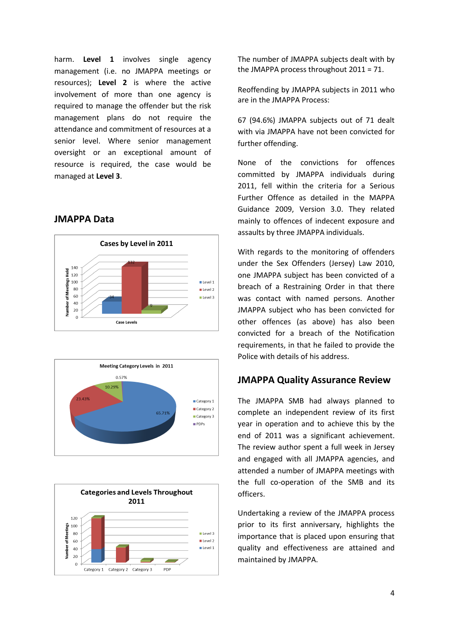harm. **Level 1** involves single agency management (i.e. no JMAPPA meetings or resources); **Level 2** is where the active involvement of more than one agency is required to manage the offender but the risk management plans do not require the attendance and commitment of resources at a senior level. Where senior management oversight or an exceptional amount of resource is required, the case would be managed at **Level 3**.

#### **JMAPPA Data**







The number of JMAPPA subjects dealt with by the JMAPPA process throughout 2011 = 71.

Reoffending by JMAPPA subjects in 2011 who are in the JMAPPA Process:

67 (94.6%) JMAPPA subjects out of 71 dealt with via JMAPPA have not been convicted for further offending.

None of the convictions for offences committed by JMAPPA individuals during 2011, fell within the criteria for a Serious Further Offence as detailed in the MAPPA Guidance 2009, Version 3.0. They related mainly to offences of indecent exposure and assaults by three JMAPPA individuals.

With regards to the monitoring of offenders under the Sex Offenders (Jersey) Law 2010, one JMAPPA subject has been convicted of a breach of a Restraining Order in that there was contact with named persons. Another JMAPPA subject who has been convicted for other offences (as above) has also been convicted for a breach of the Notification requirements, in that he failed to provide the Police with details of his address.

#### **JMAPPA Quality Assurance Review**

The JMAPPA SMB had always planned to complete an independent review of its first year in operation and to achieve this by the end of 2011 was a significant achievement. The review author spent a full week in Jersey and engaged with all JMAPPA agencies, and attended a number of JMAPPA meetings with the full co-operation of the SMB and its officers.

Undertaking a review of the JMAPPA process prior to its first anniversary, highlights the importance that is placed upon ensuring that quality and effectiveness are attained and maintained by JMAPPA.